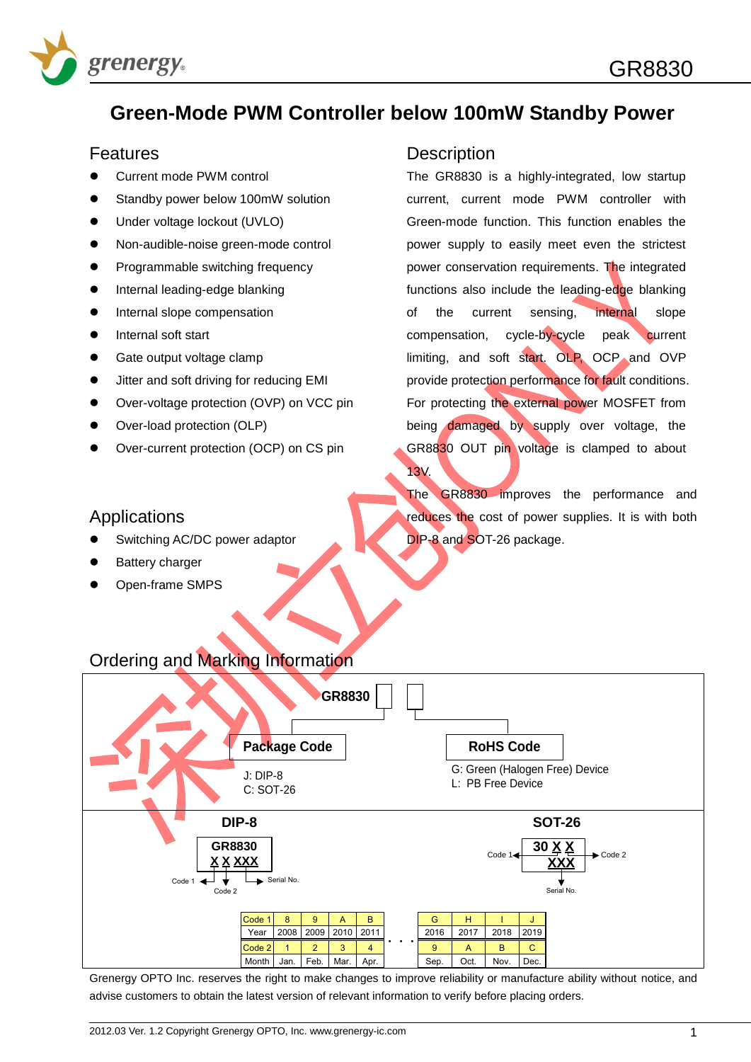

# **Green-Mode PWM Controller below 100mW Standby Power**

### Features

- Current mode PWM control
- Standby power below 100mW solution
- Under voltage lockout (UVLO)
- Non-audible-noise green-mode control
- Programmable switching frequency
- **•** Internal leading-edge blanking
- **•** Internal slope compensation
- **•** Internal soft start

**Applications** 

 Battery charger Open-frame SMPS

- Gate output voltage clamp
- Jitter and soft driving for reducing EMI
- Over-voltage protection (OVP) on VCC pin
- Over-load protection (OLP)
- Over-current protection (OCP) on CS pin

### **Description**

The GR8830 is a highly-integrated, low startup current, current mode PWM controller with Green-mode function. This function enables the power supply to easily meet even the strictest power conservation requirements. The integrated functions also include the leading-edge blanking of the current sensing, internal slope compensation, cycle-by-cycle peak current limiting, and soft start. OLP, OCP and OVP provide protection performance for fault conditions. For protecting the external power MOSFET from being damaged by supply over voltage, the GR8830 OUT pin voltage is clamped to about 13V.

The GR8830 improves the performance and reduces the cost of power supplies. It is with both DIP-8 and SOT-26 package.

Switching AC/DC power adaptor



Grenergy OPTO Inc. reserves the right to make changes to improve reliability or manufacture ability without notice, and advise customers to obtain the latest version of relevant information to verify before placing orders.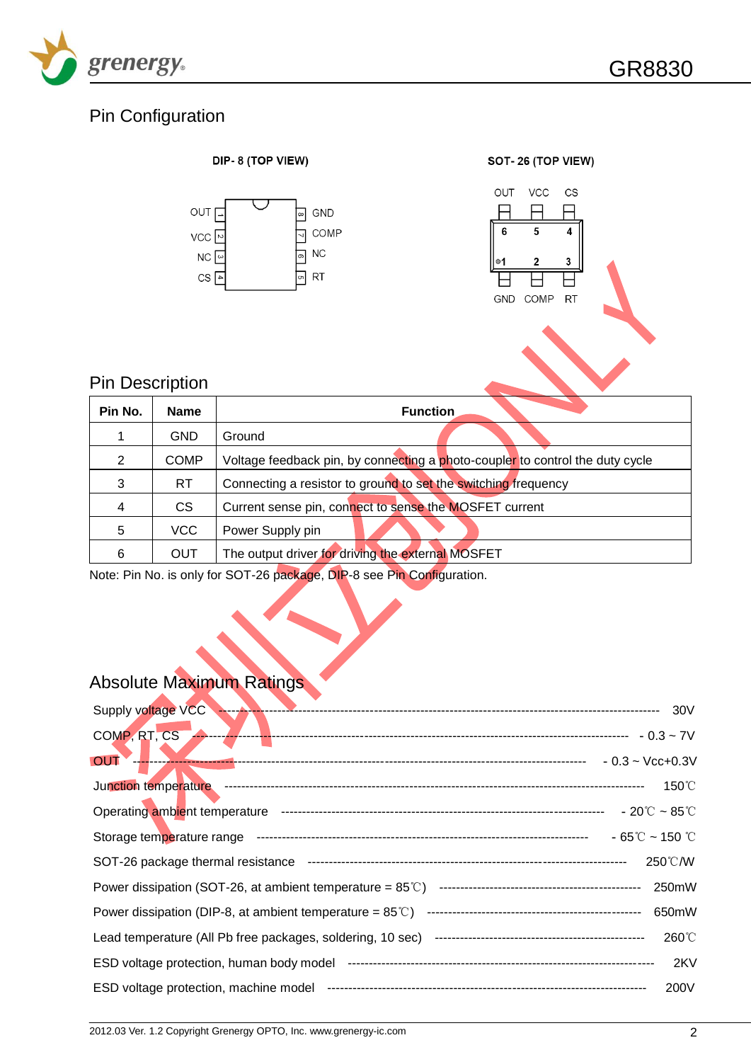

# Pin Configuration



# Pin Description

| Pin No. | <b>Name</b> | <b>Function</b>                                                               |  |  |  |  |
|---------|-------------|-------------------------------------------------------------------------------|--|--|--|--|
|         | <b>GND</b>  | Ground                                                                        |  |  |  |  |
| 2       | COMP        | Voltage feedback pin, by connecting a photo-coupler to control the duty cycle |  |  |  |  |
| 3       | RT.         | Connecting a resistor to ground to set the switching frequency                |  |  |  |  |
| 4       | CS.         | Current sense pin, connect to sense the MOSFET current                        |  |  |  |  |
| 5       | VCC         | Power Supply pin                                                              |  |  |  |  |
| 6       | <b>OUT</b>  | The output driver for driving the external MOSFET                             |  |  |  |  |

Note: Pin No. is only for SOT-26 package, DIP-8 see Pin Configuration.

### Absolute Maximum Ratings

| 30V<br>Supply voltage VCC                                                                                                                                                                                                   |
|-----------------------------------------------------------------------------------------------------------------------------------------------------------------------------------------------------------------------------|
|                                                                                                                                                                                                                             |
| OUT - 2. VCC+0.3V                                                                                                                                                                                                           |
| $150^{\circ}$ C                                                                                                                                                                                                             |
|                                                                                                                                                                                                                             |
| $-65^{\circ}$ C ~ 150 $^{\circ}$ C                                                                                                                                                                                          |
| $250^{\circ}$ C/W                                                                                                                                                                                                           |
| 250mW                                                                                                                                                                                                                       |
| Power dissipation (DIP-8, at ambient temperature = $85^{\circ}$ C) $\cdots$ $\cdots$ $\cdots$ $\cdots$ $\cdots$ $\cdots$ $\cdots$ $\cdots$ $\cdots$ $\cdots$ $\cdots$ $\cdots$ $\cdots$ $\cdots$ $\cdots$ $\cdots$<br>650mW |
| 260°C                                                                                                                                                                                                                       |
| 2KV                                                                                                                                                                                                                         |
| 200V                                                                                                                                                                                                                        |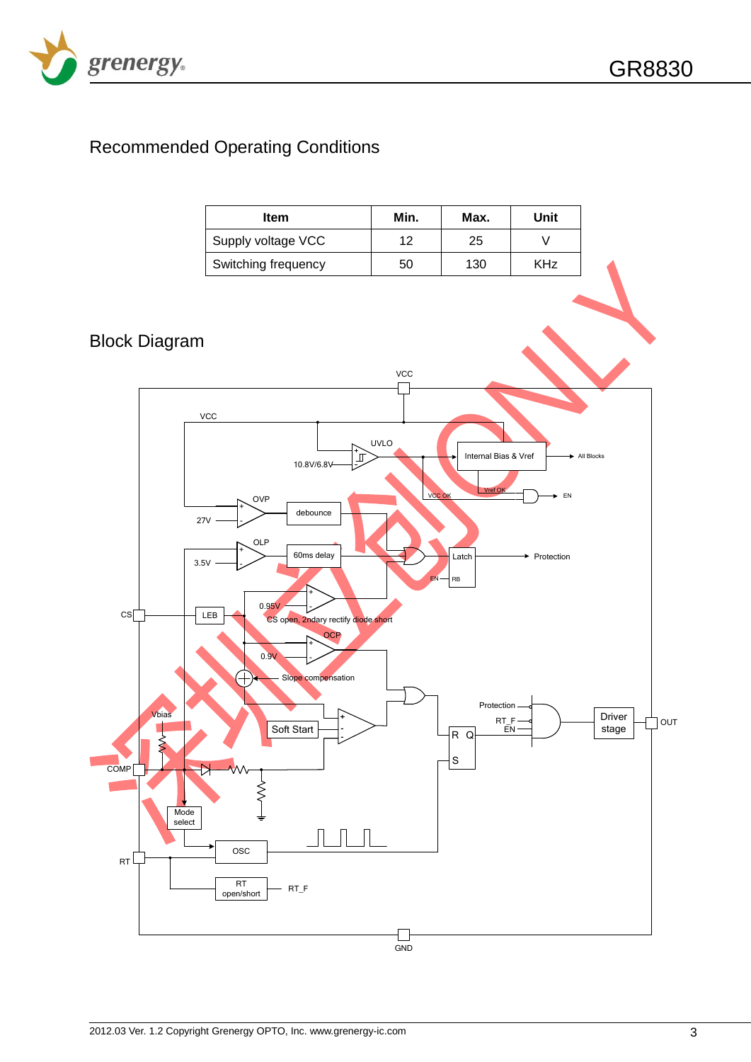

# Recommended Operating Conditions

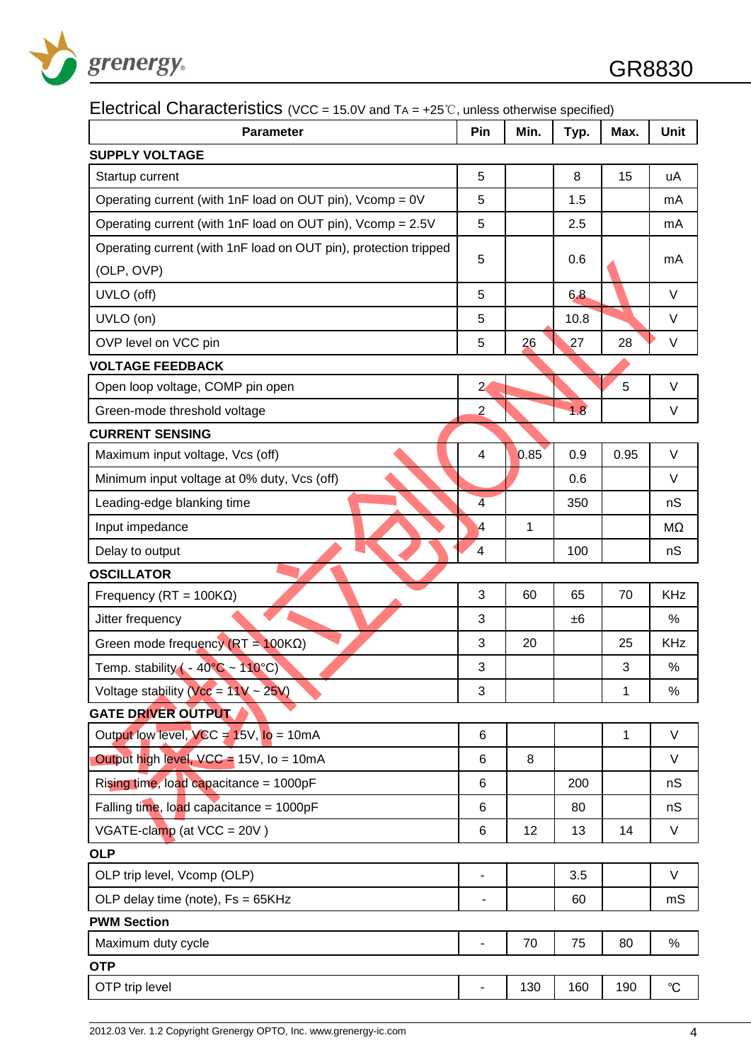

| Electrical Characteristics (VCC = $15.0V$ and $TA = +25°C$ , unless otherwise specified) |                          |      |      |              |             |
|------------------------------------------------------------------------------------------|--------------------------|------|------|--------------|-------------|
| <b>Parameter</b>                                                                         | Pin                      | Min. | Typ. | Max.         | Unit        |
| <b>SUPPLY VOLTAGE</b>                                                                    |                          |      |      |              |             |
| Startup current                                                                          | 5                        |      | 8    | 15           | uA          |
| Operating current (with 1nF load on OUT pin), Vcomp = 0V                                 | 5                        |      | 1.5  |              | mA          |
| Operating current (with 1nF load on OUT pin), Vcomp = 2.5V                               | 5                        |      | 2.5  |              | mA          |
| Operating current (with 1nF load on OUT pin), protection tripped                         |                          |      |      |              |             |
| (OLP, OVP)                                                                               | 5                        |      | 0.6  |              | mA          |
| UVLO (off)                                                                               | 5                        |      | 6.8  |              | V           |
| UVLO (on)                                                                                | 5                        |      | 10.8 |              | $\vee$      |
| OVP level on VCC pin                                                                     | 5                        | 26   | 27   | 28           | V           |
| <b>VOLTAGE FEEDBACK</b>                                                                  |                          |      |      |              |             |
| Open loop voltage, COMP pin open                                                         | $\overline{2}$           |      |      | 5            | V           |
| Green-mode threshold voltage                                                             | $\overline{c}$           |      | 1.8  |              | V           |
| <b>CURRENT SENSING</b>                                                                   |                          |      |      |              |             |
| Maximum input voltage, Vcs (off)                                                         | 4                        | 0.85 | 0.9  | 0.95         | V           |
| Minimum input voltage at 0% duty, Vcs (off)                                              |                          |      | 0.6  |              | V           |
| Leading-edge blanking time                                                               | 4                        |      | 350  |              | nS          |
| Input impedance                                                                          | $\overline{4}$           | 1    |      |              | MΩ          |
| Delay to output                                                                          | 4                        |      | 100  |              | nS          |
| <b>OSCILLATOR</b>                                                                        |                          |      |      |              |             |
| Frequency ( $RT = 100K\Omega$ )                                                          | 3                        | 60   | 65   | 70           | <b>KHz</b>  |
| Jitter frequency                                                                         | 3                        |      | ±6   |              | %           |
| Green mode frequency ( $RT = 100K\Omega$ )                                               | 3                        | 20   |      | 25           | <b>KHz</b>  |
| Temp. stability ( - $40^{\circ}$ C ~ 110°C)                                              | 3                        |      |      | 3            | $\%$        |
| Voltage stability (Vcc = $11V - 25V$ )                                                   | 3                        |      |      | 1            | $\%$        |
| <b>GATE DRIVER OUTPUT</b>                                                                |                          |      |      |              |             |
| Output low level, $VCC = 15V$ , $Io = 10mA$                                              | 6                        |      |      | $\mathbf{1}$ | V           |
| Output high level, VCC = 15V, Io = 10mA                                                  | 6                        | 8    |      |              | V           |
| Rising time, load capacitance = 1000pF                                                   | 6                        |      | 200  |              | nS          |
| Falling time, load capacitance = $1000pF$                                                | 6                        |      | 80   |              | nS          |
| VGATE-clamp (at $VCC = 20V$ )                                                            | 6                        | 12   | 13   | 14           | V           |
| <b>OLP</b>                                                                               |                          |      |      |              |             |
| OLP trip level, Vcomp (OLP)                                                              | $\overline{\phantom{a}}$ |      | 3.5  |              | V           |
| OLP delay time (note), Fs = 65KHz                                                        | ۰                        |      | 60   |              | mS          |
| <b>PWM Section</b>                                                                       |                          |      |      |              |             |
| Maximum duty cycle                                                                       | $\overline{\phantom{a}}$ | 70   | 75   | 80           | $\%$        |
| <b>OTP</b>                                                                               |                          |      |      |              |             |
| OTP trip level                                                                           | $\blacksquare$           | 130  | 160  | 190          | $^{\circ}C$ |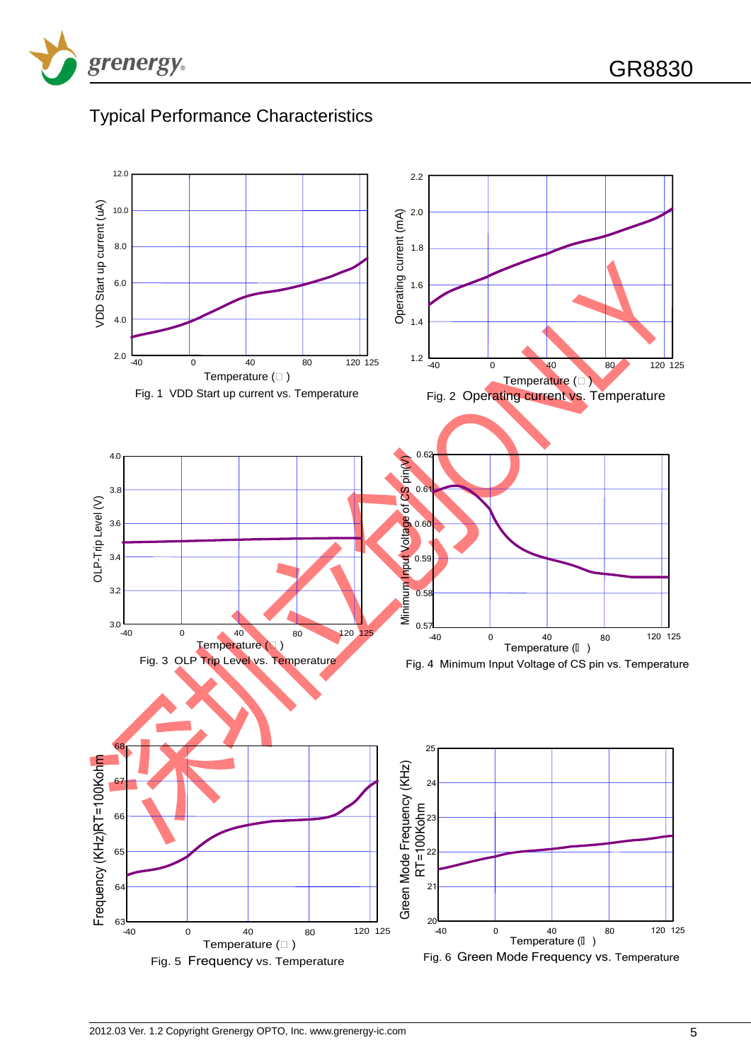

### Typical Performance Characteristics

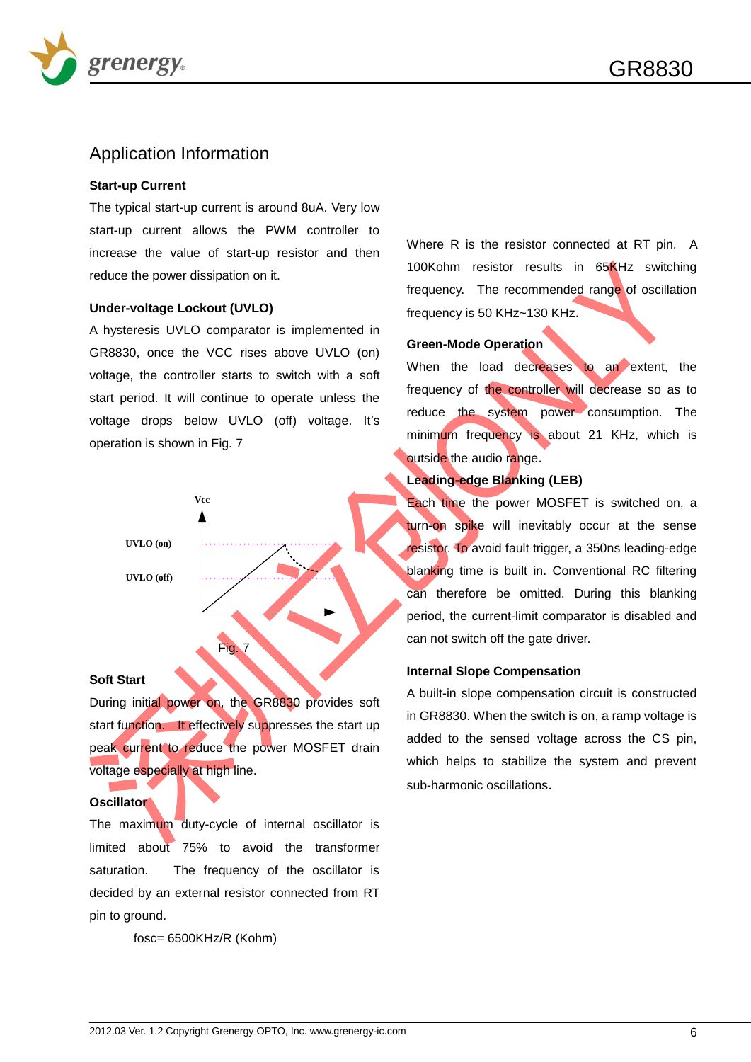

### Application Information

#### **Start-up Current**

The typical start-up current is around 8uA. Very low start-up current allows the PWM controller to increase the value of start-up resistor and then reduce the power dissipation on it.

#### **Under-voltage Lockout (UVLO)**

A hysteresis UVLO comparator is implemented in GR8830, once the VCC rises above UVLO (on) voltage, the controller starts to switch with a soft start period. It will continue to operate unless the voltage drops below UVLO (off) voltage. It's operation is shown in Fig. 7



#### **Soft Start**

During initial power on, the GR8830 provides soft start function. It effectively suppresses the start up peak current to reduce the power MOSFET drain voltage especially at high line.

#### **Oscillator**

The maximum duty-cycle of internal oscillator is limited about 75% to avoid the transformer saturation. The frequency of the oscillator is decided by an external resistor connected from RT pin to ground.

fosc= 6500KHz/R (Kohm)

Where R is the resistor connected at RT pin. A 100Kohm resistor results in 65KHz switching frequency. The recommended range of oscillation frequency is 50 KHz~130 KHz.

### **Green-Mode Operation**

When the load decreases to an extent, the frequency of the controller will decrease so as to reduce the system power consumption. The minimum frequency is about 21 KHz, which is outside the audio range.

#### **Leading-edge Blanking (LEB)**

Each time the power MOSFET is switched on, a turn-on spike will inevitably occur at the sense resistor. To avoid fault trigger, a 350ns leading-edge blanking time is built in. Conventional RC filtering can therefore be omitted. During this blanking period, the current-limit comparator is disabled and can not switch off the gate driver.

#### **Internal Slope Compensation**

A built-in slope compensation circuit is constructed in GR8830. When the switch is on, a ramp voltage is added to the sensed voltage across the CS pin, which helps to stabilize the system and prevent sub-harmonic oscillations.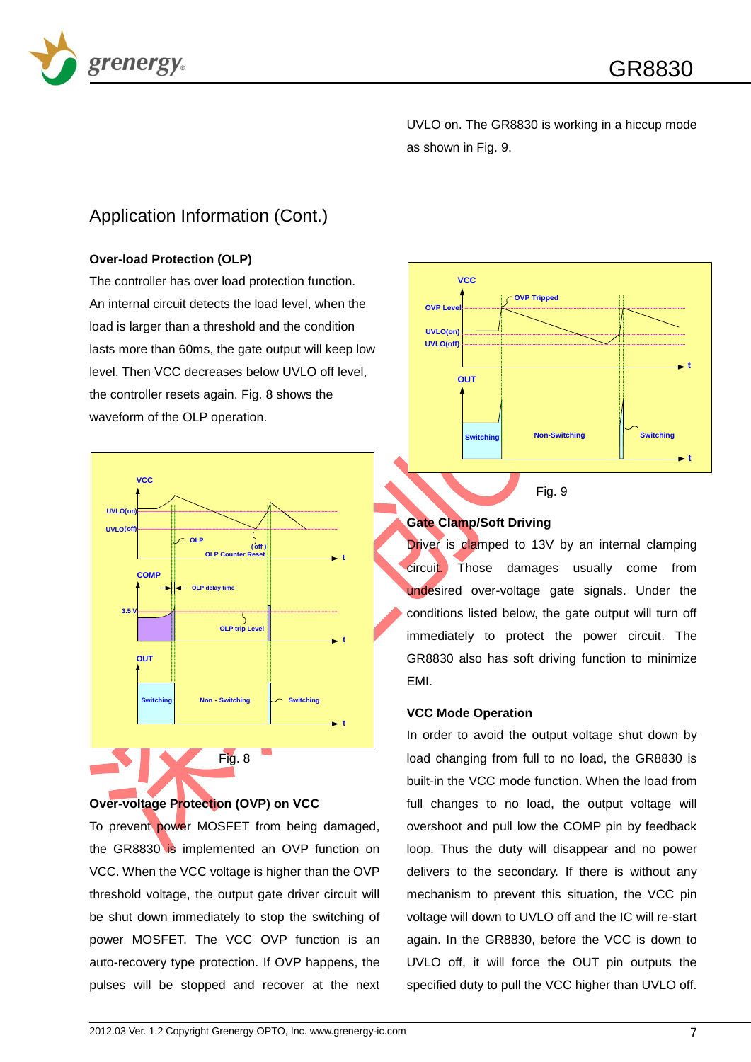

UVLO on. The GR8830 is working in a hiccup mode as shown in Fig. 9.

### Application Information (Cont.)

#### **Over-load Protection (OLP)**

The controller has over load protection function. An internal circuit detects the load level, when the load is larger than a threshold and the condition lasts more than 60ms, the gate output will keep low level. Then VCC decreases below UVLO off level, the controller resets again. Fig. 8 shows the waveform of the OLP operation.



### **Over-voltage Protection (OVP) on VCC**

To prevent power MOSFET from being damaged, the GR8830 is implemented an OVP function on VCC. When the VCC voltage is higher than the OVP threshold voltage, the output gate driver circuit will be shut down immediately to stop the switching of power MOSFET. The VCC OVP function is an auto-recovery type protection. If OVP happens, the pulses will be stopped and recover at the next



Fig. 9

### **Gate Clamp/Soft Driving**

Driver is clamped to 13V by an internal clamping circuit. Those damages usually come from undesired over-voltage gate signals. Under the conditions listed below, the gate output will turn off immediately to protect the power circuit. The GR8830 also has soft driving function to minimize EMI.

#### **VCC Mode Operation**

In order to avoid the output voltage shut down by load changing from full to no load, the GR8830 is built-in the VCC mode function. When the load from full changes to no load, the output voltage will overshoot and pull low the COMP pin by feedback loop. Thus the duty will disappear and no power delivers to the secondary. If there is without any mechanism to prevent this situation, the VCC pin voltage will down to UVLO off and the IC will re-start again. In the GR8830, before the VCC is down to UVLO off, it will force the OUT pin outputs the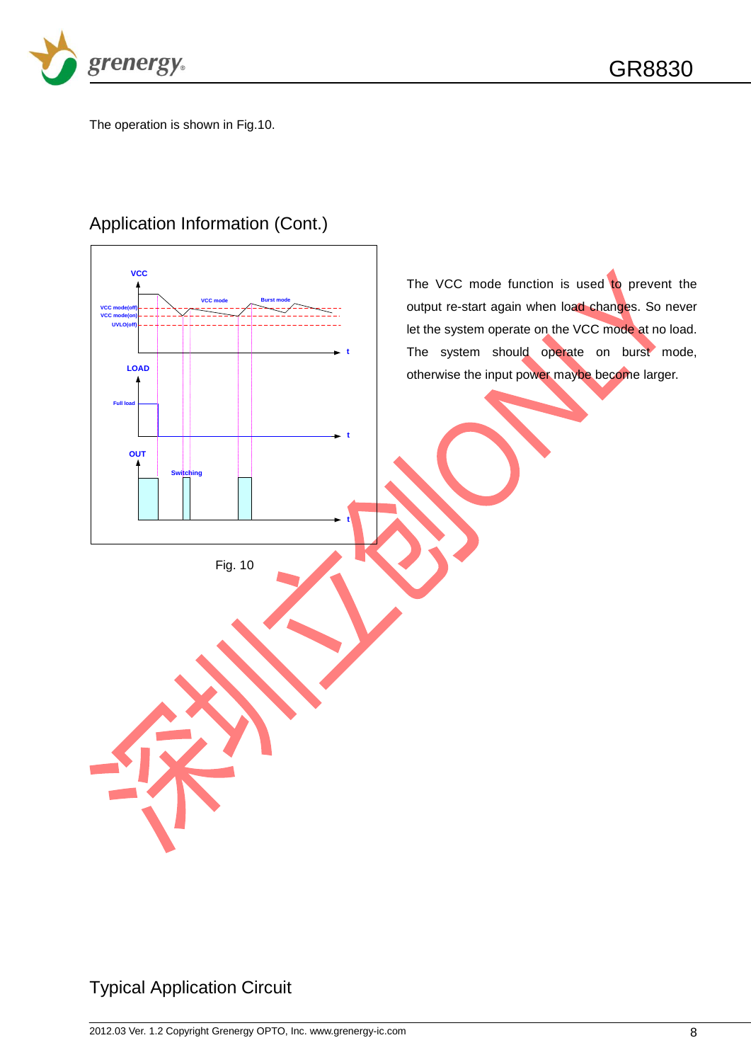



The operation is shown in Fig.10.



# Application Information (Cont.)

Typical Application Circuit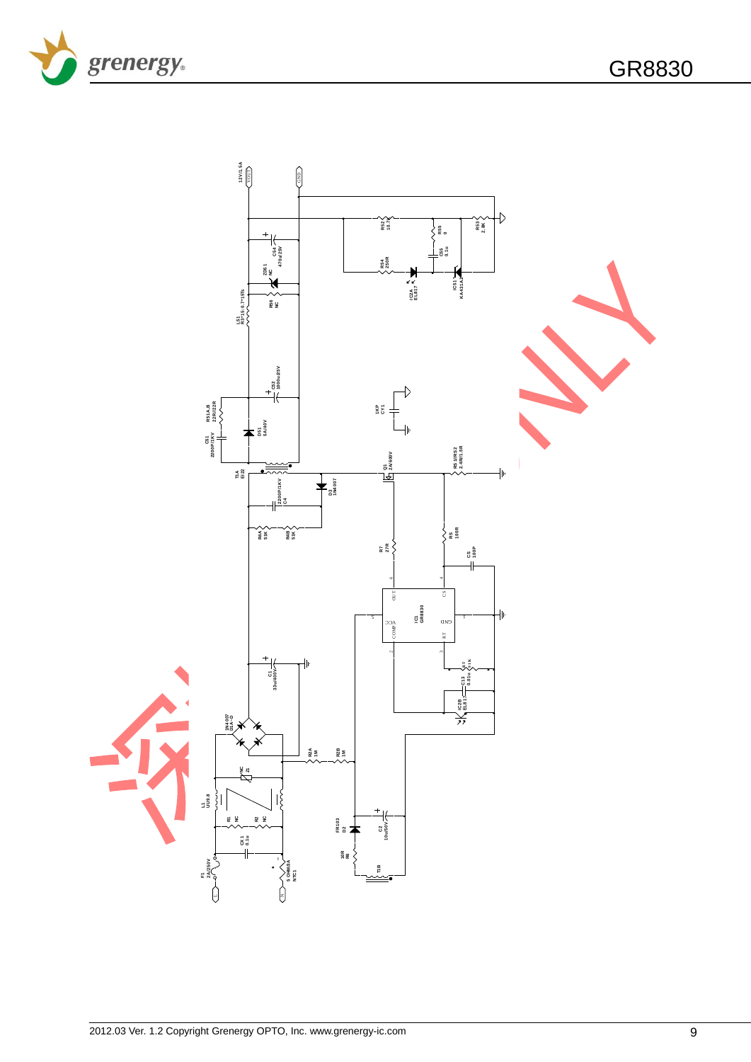

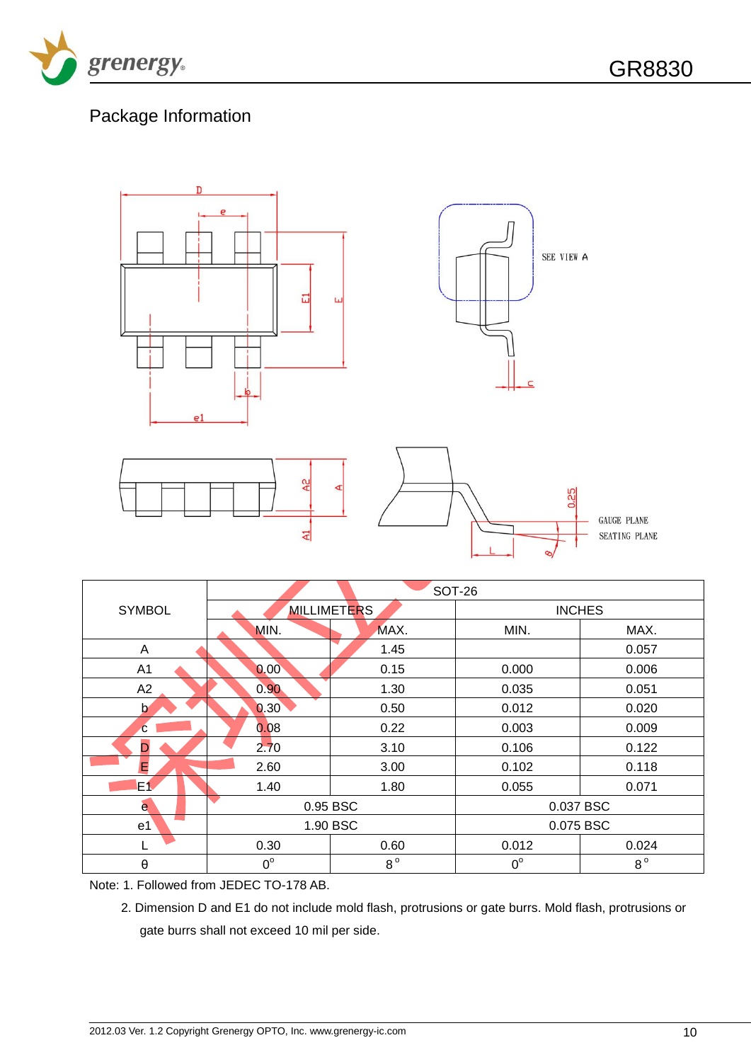

# Package Information



|                | <b>SOT-26</b> |                    |               |             |  |  |  |
|----------------|---------------|--------------------|---------------|-------------|--|--|--|
| <b>SYMBOL</b>  |               | <b>MILLIMETERS</b> | <b>INCHES</b> |             |  |  |  |
|                | MIN.          | MAX.               | MIN.          | MAX.        |  |  |  |
| A              |               | v<br>1.45          |               | 0.057       |  |  |  |
| A <sub>1</sub> | 0.00          | 0.15               | 0.000         | 0.006       |  |  |  |
| A2             | 0.90          | 1.30               | 0.035         | 0.051       |  |  |  |
| b              | 0.30          | 0.50               | 0.012         | 0.020       |  |  |  |
| -C             | 0.08          | 0.22               | 0.003         | 0.009       |  |  |  |
| D              | 2.70          | 3.10               | 0.106         | 0.122       |  |  |  |
| Ε              | 2.60          | 3.00               | 0.102         | 0.118       |  |  |  |
| E1             | 1.40          | 1.80               | 0.055         | 0.071       |  |  |  |
| $\mathbf{e}$   | 0.95 BSC      |                    | 0.037 BSC     |             |  |  |  |
| e1             | 1.90 BSC      |                    | 0.075 BSC     |             |  |  |  |
|                | 0.30          | 0.60               | 0.012         | 0.024       |  |  |  |
| $\theta$       | $0^{\circ}$   | $8^{\circ}$        | $0^{\circ}$   | $8^{\circ}$ |  |  |  |

Note: 1. Followed from JEDEC TO-178 AB.

 2. Dimension D and E1 do not include mold flash, protrusions or gate burrs. Mold flash, protrusions or gate burrs shall not exceed 10 mil per side.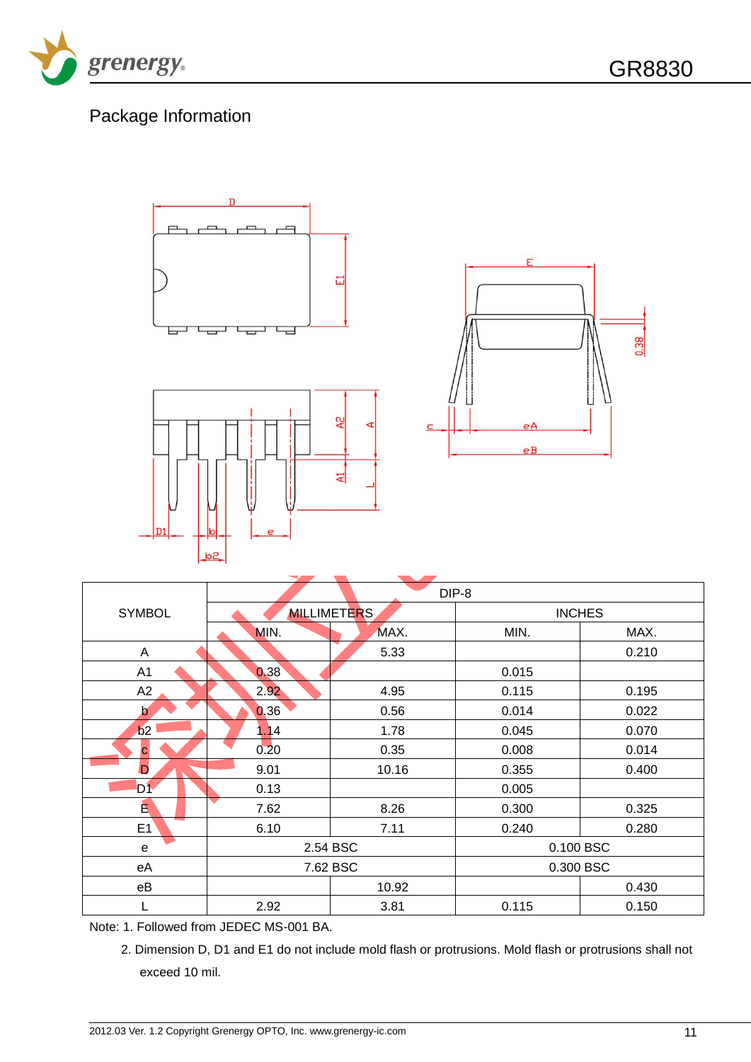

# Package Information





|               | $DIP-8$ |                    |               |           |  |  |  |
|---------------|---------|--------------------|---------------|-----------|--|--|--|
| <b>SYMBOL</b> |         | <b>MILLIMETERS</b> | <b>INCHES</b> |           |  |  |  |
|               | MIN.    | MAX.               | MIN.          | MAX.      |  |  |  |
| A             |         | 5.33               |               | 0.210     |  |  |  |
| A1            | 0.38    |                    | 0.015         |           |  |  |  |
| A2            | 2.92    | 4.95               | 0.115         | 0.195     |  |  |  |
| b             | 0.36    | 0.56               | 0.014         | 0.022     |  |  |  |
| b2            | 1.14    | 1.78               | 0.045         | 0.070     |  |  |  |
| С             | 0.20    | 0.35               | 0.008         | 0.014     |  |  |  |
| D             | 9.01    | 10.16              | 0.355         | 0.400     |  |  |  |
| D1            | 0.13    |                    | 0.005         |           |  |  |  |
| È             | 7.62    | 8.26               | 0.300         | 0.325     |  |  |  |
| E1            | 6.10    | 7.11               | 0.240         | 0.280     |  |  |  |
| e             |         | 2.54 BSC           | 0.100 BSC     |           |  |  |  |
| eA            |         | 7.62 BSC           |               | 0.300 BSC |  |  |  |
| eB            |         | 10.92              |               | 0.430     |  |  |  |
|               | 2.92    | 3.81               | 0.115         | 0.150     |  |  |  |

Note: 1. Followed from JEDEC MS-001 BA.

 2. Dimension D, D1 and E1 do not include mold flash or protrusions. Mold flash or protrusions shall not exceed 10 mil.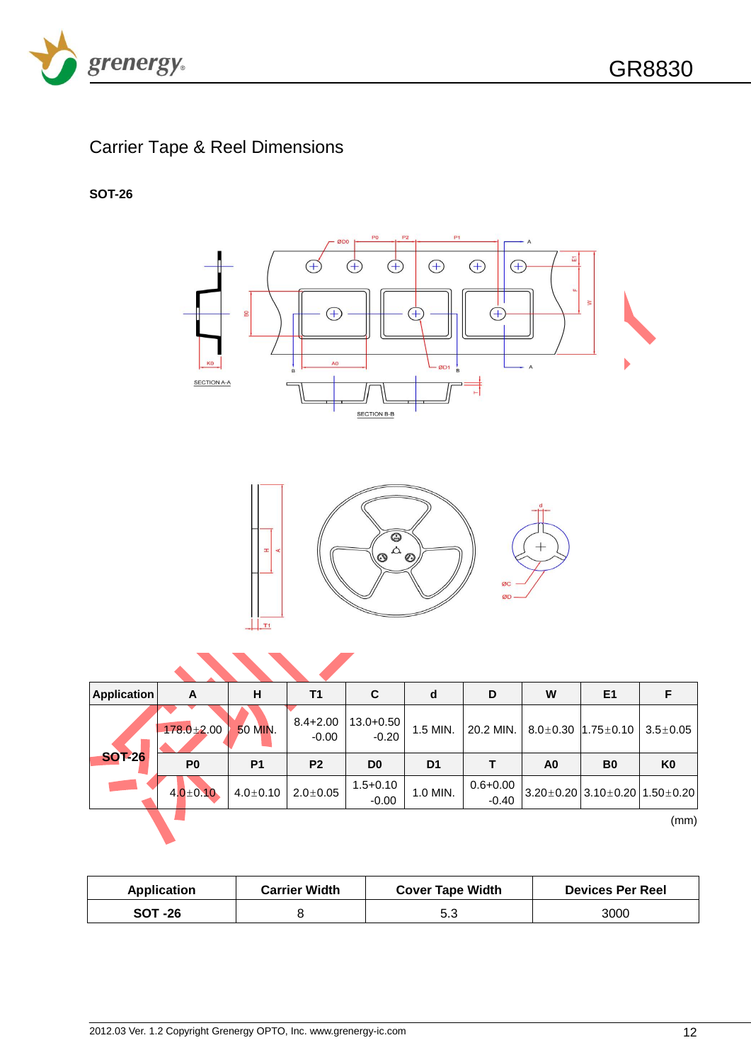

# Carrier Tape & Reel Dimensions

### **SOT-26**



| <b>Application</b> | A                | н              | <b>T1</b>               | C                        | d        | D                       | W              | E <sub>1</sub>                                  |                |
|--------------------|------------------|----------------|-------------------------|--------------------------|----------|-------------------------|----------------|-------------------------------------------------|----------------|
|                    | $178.0 \pm 2.00$ | <b>50 MIN.</b> | $8.4 + 2.00$<br>$-0.00$ | $13.0 + 0.50$<br>$-0.20$ | 1.5 MIN. | 20.2 MIN.               |                | $8.0 \pm 0.30$  1.75 $\pm$ 0.10                 | $3.5 \pm 0.05$ |
| <b>SOT-26</b>      | P <sub>0</sub>   | <b>P1</b>      | P <sub>2</sub>          | D <sub>0</sub>           | D1       |                         | A <sub>0</sub> | B <sub>0</sub>                                  | K <sub>0</sub> |
|                    | $4.0 \pm 0.10$   | $4.0 \pm 0.10$ | $2.0 \pm 0.05$          | $1.5 + 0.10$<br>$-0.00$  | 1.0 MIN. | $0.6 + 0.00$<br>$-0.40$ |                | $3.20 \pm 0.20$ 3.10 $\pm$ 0.20 1.50 $\pm$ 0.20 |                |
|                    |                  |                |                         |                          |          |                         |                |                                                 | (mm)           |

| <b>Application</b> | <b>Carrier Width</b> | <b>Cover Tape Width</b> | <b>Devices Per Reel</b> |  |  |
|--------------------|----------------------|-------------------------|-------------------------|--|--|
| <b>SOT -26</b>     |                      | ე.კ                     | 3000                    |  |  |